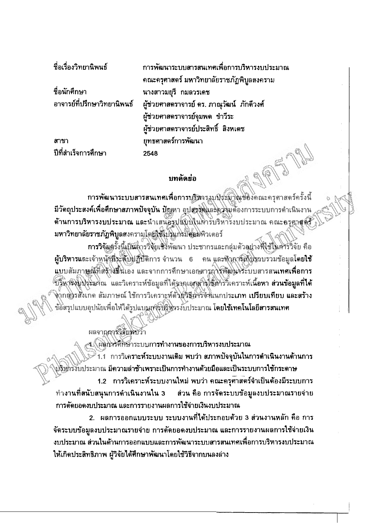| ชื่อเรื่องวิทยานิพนธ์       | การพัฒนาระบบสารสนเทศเพื่อการบริหารงบประมาณ  |
|-----------------------------|---------------------------------------------|
|                             | ึคณะครุศาสตร์ มหาวิทยาลัยราชภัฏพิบูลสงคราม  |
| ชื่อนักศึกษา                | นางสาวมยุรี กมลวรเดช                        |
| อาจารย์ที่ปรึกษาวิทยานิพนธ์ | ผู้ช่วยศาสตราจารย์ ดร. ภาณุวัฒน์  ภักดีวงศ์ |
|                             | ผู้ช่วยศาสตราจารย์จุมพด ขำวีระ              |
|                             | ผู้ช่วยศาสตราจารย์ประสิทธิ์ สิงหเตช         |
| สาขา                        | ยุทธศาสตร์การพัฒนา                          |
| ปีที่สำเร็จการศึกษา         | 2548                                        |
|                             | บทคัดย่อ                                    |
|                             | การพัฒนาระบบอารอนบุคสบที่ถูกกรุงสังคร       |

## บทคัดย่อ

การพัฒนาระบบสารสนเทศเพื่อการบริหารงูบุประมาณของคณะครุศาสตร์ครั้งนี้ ้มีวัตถุประสงค์เพื่อศึกษาสภาพปัจจุบัน ปัญหา อุปสรรัตและความต้องการระบบการดำเนินงาน ด้านการบริหารงบประมาณ และนำเสนอรูปแบบในหารับริหารังบประมาณ คณะครุศาสตร์ มหาวิทยาลัยราชภัฏพิบูลสงครามโดยใช้ไปไม่กรมีคือมพิวเตอร์

การวิจัยตรั้งนี้เป็นลารวิจัยเชิงพัฒนา ประชากรและกลุ่มตัวอย่างที่ใช้ไม่คำรวิจัย คือ ผู้บริหารและเจ้าหน้าที่ระดับปฏิบัติการ จำนวน 6 คน และทำการใก็บราบรวมข้อมูลโดยใช้ แบบสัมภาษณ์ที่สร้างมีนี้เอง และจากการศึกษาเอกสารภารพัฒนาระบบสารสนเทศเพื่อการ ับริหาริงบปุระนาณ และวิเคราะห์ข้อมูลที่ได้จากเอกสารใช้ทำรวิเคราะห์เนื้อหา ส่วนข้อมูลที่ได้ จุ่ากลุ่งรสังเกต สัมภาษณ์ ใช้การวิเคราะห์ตัวยุวิธีอารังขึ้นนกประเภท <mark>เปรียบเทียบ และสร้าง</mark> ข้อสรุปแบบอุปนัยเพื่อให้ได้รูปแบบสูงรู้บริหารงับประมาณ โดยใช้เทคโนโลยีสารสนเทศ

ผลจากการวิจัยหบว่า

ี่ 4.\ ผลิกวรศึกษาระบบกา**รทำงานของการบริหารงบประมาณ** 1.1 การวิเคราะห์ระบบงานเดิม พบว่า สภาพปัจจุบันในการดำเนินงานด้านการ ปริหารงับประมาณ มีความล่าช้าเพราะเป็นการทำงานด้วยมือและเป็นระบบการใช้กระตาษ 1.2 การวิเคราะห์ระบบงานใหม่ พบว่า คณะครุศาสตร์จำเป็นต้องมีระบบการ ้ทำงานที่สนับสนุนการดำเนินงานใน 3 ส่วน คือ การจัดระบบข้อมูลงบประมาณรายจ่าย การตัดยอดงบประมาณ และการรายงานผลการใช้จ่ายเงินงบประมาณ

2. ผลการออกแบบระบบ ระบบงานที่ได้ประกอบตัวย 3 ส่วนงานหลัก คือ การ จัดระบบข้อมูลงบประมาณรายจ่าย การตัดยอดงบประมาณ และการรายงานผลการใช้จ่ายเงิน ึ่งบประมาณ ส่วนในด้านการออกแบบและการพัฒนาระบบสารสนเทศเพื่อการบริหารงบประมาณ ให้เกิดประสิทธิภาพ ผู้วิจัยได้ศึกษาพัฒนาโดยใช้วิธีจากบนลงล่าง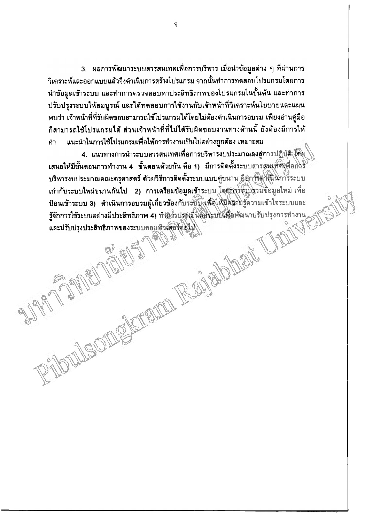3. ผลการพัฒนาระบบสารสนเทศเพื่อการบริหาร เมื่อนำข้อมูลต่าง ๆ ที่ผ่านการ ้วิเคราะห์และออกแบบแล้วจึงดำเนินการสร้างโปรแกรม จากนั้นทำการทดสอบโปรแกรมโดยการ ้นำข้อมลเข้าระบบ และทำการดรวจสอบหาประสิทธิภาพของโปรแกรมในขั้นต้น และทำการ ปรับปรุงระบบให้สมบูรณ์ และได้ทดสอบการใช้งานกับเจ้าหน้าที่วิเคราะห์นโยบายและแผน ้ พบว่า เจ้าหน้าที่ที่รับผิดชอบสามารถใช้โปรแกรมได้โดยไม่ต้องดำเนินการอบรม เพียงอ่านคู่มือ ้ก็สามารถใช้โปรแกรมได้ ส่วนเจ้าหน้าที่ที่ไม่ได้รับผิดชอบงานทางด้านนี้ ยังต้องมีการให้ แนะนำในการใช้โปรแกรมเพื่อให้การทำงานเป็นไปอย่างถูกต้อง เหมาะสม คำ

4. แนวทางการนำระบบสารสนเทศเพื่อการบริหารงบประมาณลงสู่การปฏิบัติ ได้มุ เสนอให้มีขั้นดอนการทำงาน 4 ขั้นดอนด้วยกัน คือ 1) มีการติดตั้งระบบสารสนเทศ(พื่อการ บริหารงบประมาณคณะครุศาสตร์ ด้วยวิธีการติดตั้งระบบแบบคู่ขนาน ดีถูการตำเนินการระบบ เก่ากับระบบใหม่ขนานกันไป 2) การเดรียมข้อมูลเข้าระบบ โดยลาร์จักปรวมข้อมูลใหม่ เพื่อ ป้อนเข้าระบบ 3) ดำเนินการอบรมผู้เกี่ยวข้องกับระบบ (เพื่อให้มีคริกมรู้ความเข้าใจระบบและ

Mentill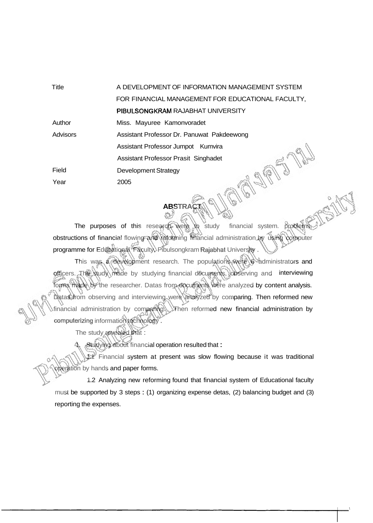| Title    | A DEVELOPMENT OF INFORMATION MANAGEMENT SYSTEM    |
|----------|---------------------------------------------------|
|          | FOR FINANCIAL MANAGEMENT FOR EDUCATIONAL FACULTY, |
|          | PIBULSONGKRAM RAJABHAT UNIVERSITY                 |
| Author   | Miss. Mayuree Kamonvoradet                        |
| Advisors | Assistant Professor Dr. Panuwat Pakdeewong        |
|          | Assistant Professor Jumpot Kumvira                |
|          | Assistant Professor Prasit Singhadet              |
| Field    | <b>Development Strategy</b>                       |
| Year     | 2005                                              |

The purposes of this research were to study financial system. problems obstructions of financial flowing and reforming financial administration by using computer programme for Educational Faculty, Pibulsongkram Rajabhat University .

ABSTRACT

This was a development research. The populations were stadministrators and officers. The study made by studying financial documents, observing and interviewing forms made by the researcher. Datas from documents were analyzed by content analysis. Datas from observing and interviewing were analyzed by comparing. Then reformed new financial administration by comparing. Then reformed new financial administration by computerizing information technology.

The study revealed that :

studying about financial operation resulted that :

1.1 Financial system at present was slow flowing because it was traditional operation by hands and paper forms.

1.2 Analyzing new reforming found that financial system of Educational faculty must be supported by 3 steps : (1) organizing expense detas, (2) balancing budget and (3) reporting the expenses.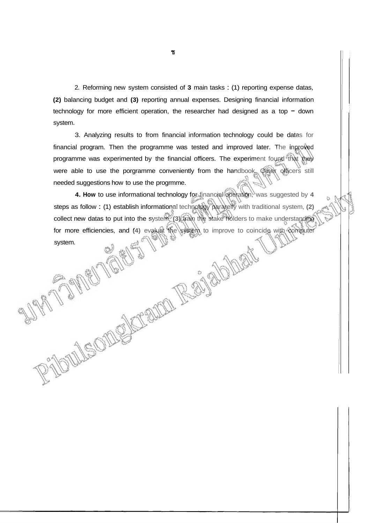2. Reforming new system consisted of **3** main tasks : (1) reporting expense datas, **(2)** balancing budget and **(3)** reporting annual expenses. Designing financial information technology for more efficient operation, the researcher had designed as a top  $-$  down system.

3. Analyzing results to from financial information technology could be datas for financial program. Then the programme was tested and improved later. The inproved programme was experimented by the financial officers. The experiment found that they were able to use the porgramme conveniently from the handbook. Other officers still needed suggestions how to use the progrmme.

**4. How** to use informational technology for financial operation, was suggested by 4 steps as follow : (1) establish informational technology pararelly with traditional system, (2) collect new datas to put into the system, **(3)** train the stake holders to make understanding for more efficiencies, and **(4)** evaluate the system system.<br>system.<br>The system of the system of the system of the system of the system of the system of the system of the system of the system of the system of the system of system.

ENLLE ON